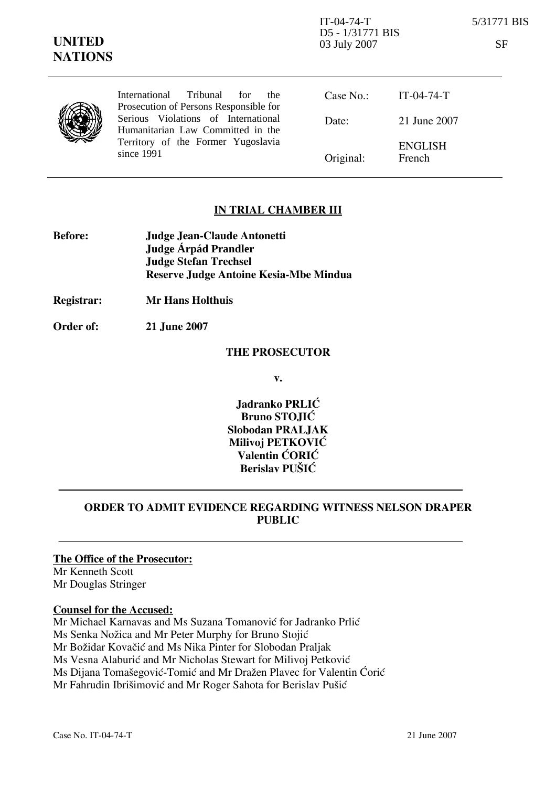IT-04-74-T 5/31771 BIS D5 - 1/31771 BIS 03 July 2007 SF

|  | International Tribunal for<br>the<br>Prosecution of Persons Responsible for                                                  | Case No.: IT-04-74-T |                          |
|--|------------------------------------------------------------------------------------------------------------------------------|----------------------|--------------------------|
|  | Serious Violations of International<br>Humanitarian Law Committed in the<br>Territory of the Former Yugoslavia<br>since 1991 | Date:                | 21 June 2007             |
|  |                                                                                                                              | Original:            | <b>ENGLISH</b><br>French |

## IN TRIAL CHAMBER III

| <b>Before:</b> | Judge Jean-Claude Antonetti                   |
|----------------|-----------------------------------------------|
|                | Judge Árpád Prandler                          |
|                | <b>Judge Stefan Trechsel</b>                  |
|                | <b>Reserve Judge Antoine Kesia-Mbe Mindua</b> |

Registrar: Mr Hans Holthuis

Order of: 21 June 2007

#### THE PROSECUTOR

v.

Jadranko PRLIĆ Bruno STOJIĆ Slobodan PRALJAK Milivoj PETKOVIĆ Valentin CORIC Berislav PUŠIĆ

## ORDER TO ADMIT EVIDENCE REGARDING WITNESS NELSON DRAPER PUBLIC

#### The Office of the Prosecutor:

Mr Kenneth Scott Mr Douglas Stringer

### Counsel for the Accused:

Mr Michael Karnavas and Ms Suzana Tomanović for Jadranko Prlić Ms Senka Nožica and Mr Peter Murphy for Bruno Stojić Mr Božidar Kovačić and Ms Nika Pinter for Slobodan Praljak Ms Vesna Alaburić and Mr Nicholas Stewart for Milivoj Petković Ms Dijana Tomašegović-Tomić and Mr Dražen Plavec for Valentin Ćorić Mr Fahrudin Ibrišimović and Mr Roger Sahota for Berislav Pušić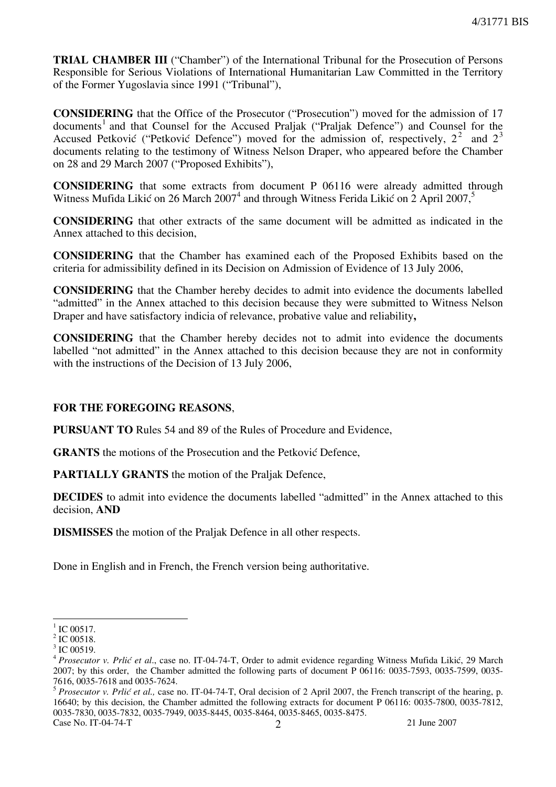TRIAL CHAMBER III ("Chamber") of the International Tribunal for the Prosecution of Persons Responsible for Serious Violations of International Humanitarian Law Committed in the Territory of the Former Yugoslavia since 1991 ("Tribunal"),

CONSIDERING that the Office of the Prosecutor ("Prosecution") moved for the admission of 17 documents<sup>1</sup> and that Counsel for the Accused Praljak ("Praljak Defence") and Counsel for the Accused Petković ("Petković Defence") moved for the admission of, respectively,  $2^2$  and  $2^3$ documents relating to the testimony of Witness Nelson Draper, who appeared before the Chamber on 28 and 29 March 2007 ("Proposed Exhibits"),

CONSIDERING that some extracts from document P 06116 were already admitted through Witness Mufida Likić on 26 March 2007<sup>4</sup> and through Witness Ferida Likić on 2 April 2007,<sup>5</sup>

CONSIDERING that other extracts of the same document will be admitted as indicated in the Annex attached to this decision,

CONSIDERING that the Chamber has examined each of the Proposed Exhibits based on the criteria for admissibility defined in its Decision on Admission of Evidence of 13 July 2006,

CONSIDERING that the Chamber hereby decides to admit into evidence the documents labelled "admitted" in the Annex attached to this decision because they were submitted to Witness Nelson Draper and have satisfactory indicia of relevance, probative value and reliability,

CONSIDERING that the Chamber hereby decides not to admit into evidence the documents labelled "not admitted" in the Annex attached to this decision because they are not in conformity with the instructions of the Decision of 13 July 2006,

### FOR THE FOREGOING REASONS,

PURSUANT TO Rules 54 and 89 of the Rules of Procedure and Evidence,

**GRANTS** the motions of the Prosecution and the Petković Defence,

PARTIALLY GRANTS the motion of the Praljak Defence,

DECIDES to admit into evidence the documents labelled "admitted" in the Annex attached to this decision, AND

DISMISSES the motion of the Praljak Defence in all other respects.

Done in English and in French, the French version being authoritative.

 $\frac{1}{1}$  IC 00517.

 $2$  IC 00518.

<sup>&</sup>lt;sup>3</sup> IC 00519.

<sup>&</sup>lt;sup>4</sup> Prosecutor v. Prlić et al., case no. IT-04-74-T, Order to admit evidence regarding Witness Mufida Likić, 29 March 2007; by this order, the Chamber admitted the following parts of document P 06116: 0035-7593, 0035-7599, 0035- 7616, 0035-7618 and 0035-7624.

 $5$  Prosecutor v. Prlić et al., case no. IT-04-74-T, Oral decision of 2 April 2007, the French transcript of the hearing, p. 16640; by this decision, the Chamber admitted the following extracts for document P 06116: 0035-7800, 0035-7812, 0035-7830, 0035-7832, 0035-7949, 0035-8445, 0035-8464, 0035-8465, 0035-8475.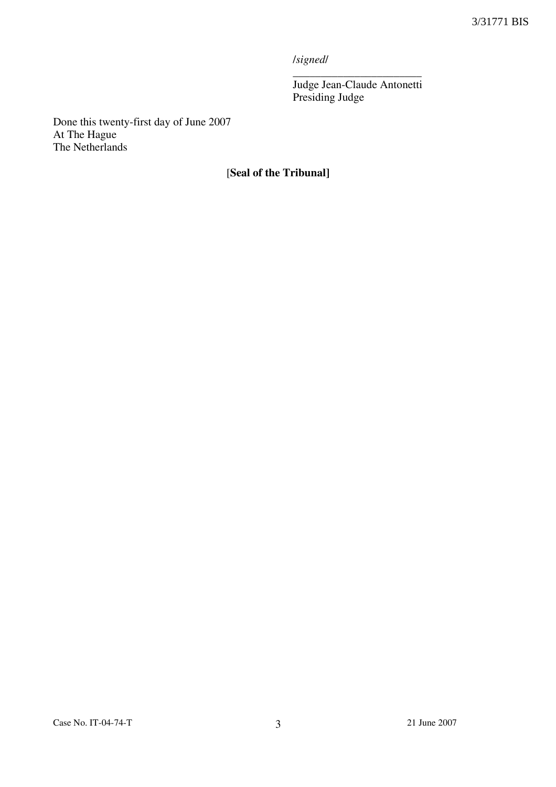/signed/

\_\_\_\_\_\_\_\_\_\_\_\_\_\_\_\_\_\_\_\_\_\_\_ Judge Jean-Claude Antonetti Presiding Judge

Done this twenty-first day of June 2007 At The Hague The Netherlands

# [Seal of the Tribunal]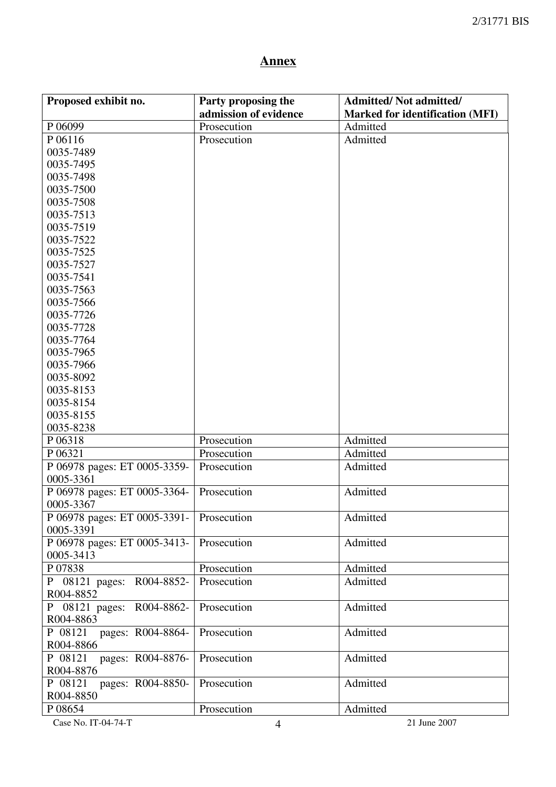# Annex

| Proposed exhibit no.           | Party proposing the   | <b>Admitted/Not admitted/</b>          |
|--------------------------------|-----------------------|----------------------------------------|
|                                | admission of evidence | <b>Marked for identification (MFI)</b> |
| P 06099                        | Prosecution           | Admitted                               |
| P 06116                        | Prosecution           | Admitted                               |
| 0035-7489                      |                       |                                        |
| 0035-7495                      |                       |                                        |
| 0035-7498                      |                       |                                        |
| 0035-7500                      |                       |                                        |
| 0035-7508                      |                       |                                        |
| 0035-7513                      |                       |                                        |
| 0035-7519                      |                       |                                        |
| 0035-7522                      |                       |                                        |
| 0035-7525                      |                       |                                        |
| 0035-7527                      |                       |                                        |
| 0035-7541                      |                       |                                        |
| 0035-7563                      |                       |                                        |
| 0035-7566                      |                       |                                        |
| 0035-7726                      |                       |                                        |
| 0035-7728                      |                       |                                        |
| 0035-7764                      |                       |                                        |
| 0035-7965                      |                       |                                        |
| 0035-7966                      |                       |                                        |
| 0035-8092                      |                       |                                        |
| 0035-8153                      |                       |                                        |
| 0035-8154                      |                       |                                        |
| 0035-8155                      |                       |                                        |
| 0035-8238                      |                       |                                        |
| P 06318                        | Prosecution           | Admitted                               |
| P 06321                        | Prosecution           | Admitted                               |
| P 06978 pages: ET 0005-3359-   | Prosecution           | Admitted                               |
| 0005-3361                      |                       |                                        |
| P 06978 pages: ET 0005-3364-   | Prosecution           | Admitted                               |
| 0005-3367                      |                       |                                        |
| P 06978 pages: ET 0005-3391-   | Prosecution           | Admitted                               |
| 0005-3391                      |                       |                                        |
| P 06978 pages: ET 0005-3413-   | Prosecution           | Admitted                               |
| 0005-3413                      |                       |                                        |
| P 07838                        | Prosecution           | Admitted                               |
| $P$ 08121 pages:<br>R004-8852- | Prosecution           | Admitted                               |
| R004-8852                      |                       |                                        |
| P 08121 pages:<br>R004-8862-   | Prosecution           | Admitted                               |
| R004-8863                      |                       |                                        |
| P 08121<br>pages: R004-8864-   | Prosecution           | Admitted                               |
| R004-8866                      |                       |                                        |
| P 08121<br>pages: R004-8876-   | Prosecution           | Admitted                               |
| R004-8876                      |                       |                                        |
| P 08121<br>pages: R004-8850-   | Prosecution           | Admitted                               |
| R004-8850                      |                       |                                        |
| P 08654                        | Prosecution           | Admitted                               |
| Case No. IT-04-74-T            | $\overline{4}$        | 21 June 2007                           |